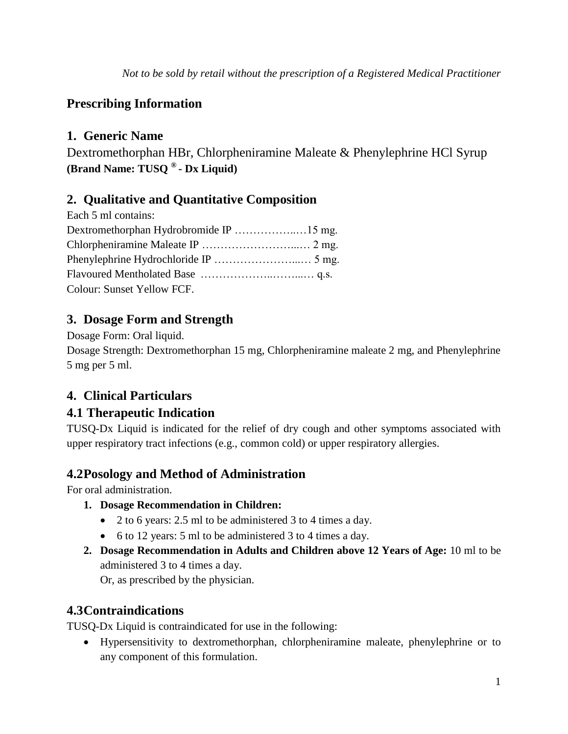# **Prescribing Information**

# **1. Generic Name**

Dextromethorphan HBr, Chlorpheniramine Maleate & Phenylephrine HCl Syrup **(Brand Name: TUSQ ® - Dx Liquid)**

# **2. Qualitative and Quantitative Composition**

| Each 5 ml contains:        |  |
|----------------------------|--|
|                            |  |
|                            |  |
|                            |  |
|                            |  |
| Colour: Sunset Yellow FCF. |  |

# **3. Dosage Form and Strength**

Dosage Form: Oral liquid.

Dosage Strength: Dextromethorphan 15 mg, Chlorpheniramine maleate 2 mg, and Phenylephrine 5 mg per 5 ml.

# **4. Clinical Particulars**

# **4.1 Therapeutic Indication**

TUSQ-Dx Liquid is indicated for the relief of dry cough and other symptoms associated with upper respiratory tract infections (e.g., common cold) or upper respiratory allergies.

# **4.2Posology and Method of Administration**

For oral administration.

- **1. Dosage Recommendation in Children:**
	- 2 to 6 years: 2.5 ml to be administered 3 to 4 times a day.
	- 6 to 12 years: 5 ml to be administered 3 to 4 times a day.
- **2. Dosage Recommendation in Adults and Children above 12 Years of Age:** 10 ml to be administered 3 to 4 times a day.

Or, as prescribed by the physician.

# **4.3Contraindications**

TUSQ-Dx Liquid is contraindicated for use in the following:

 Hypersensitivity to dextromethorphan, chlorpheniramine maleate, phenylephrine or to any component of this formulation.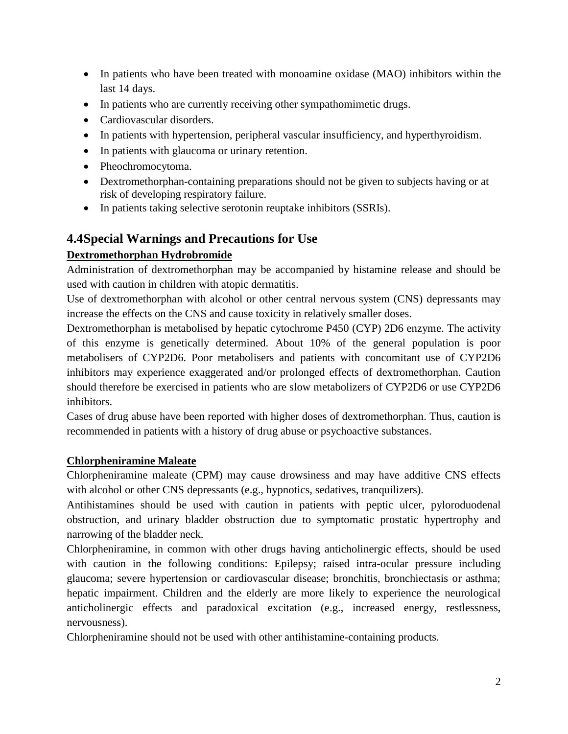- In patients who have been treated with monoamine oxidase (MAO) inhibitors within the last 14 days.
- In patients who are currently receiving other sympathomimetic drugs.
- Cardiovascular disorders.
- In patients with hypertension, peripheral vascular insufficiency, and hyperthyroidism.
- In patients with glaucoma or urinary retention.
- Pheochromocytoma.
- Dextromethorphan-containing preparations should not be given to subjects having or at risk of developing respiratory failure.
- In patients taking selective serotonin reuptake inhibitors (SSRIs).

# **4.4Special Warnings and Precautions for Use**

### **Dextromethorphan Hydrobromide**

Administration of dextromethorphan may be accompanied by histamine release and should be used with caution in children with atopic dermatitis.

Use of dextromethorphan with alcohol or other central nervous system (CNS) depressants may increase the effects on the CNS and cause toxicity in relatively smaller doses.

Dextromethorphan is metabolised by hepatic cytochrome P450 (CYP) 2D6 enzyme. The activity of this enzyme is genetically determined. About 10% of the general population is poor metabolisers of CYP2D6. Poor metabolisers and patients with concomitant use of CYP2D6 inhibitors may experience exaggerated and/or prolonged effects of dextromethorphan. Caution should therefore be exercised in patients who are slow metabolizers of CYP2D6 or use CYP2D6 inhibitors.

Cases of drug abuse have been reported with higher doses of dextromethorphan. Thus, caution is recommended in patients with a history of drug abuse or psychoactive substances.

### **Chlorpheniramine Maleate**

Chlorpheniramine maleate (CPM) may cause drowsiness and may have additive CNS effects with alcohol or other CNS depressants (e.g., hypnotics, sedatives, tranquilizers).

Antihistamines should be used with caution in patients with peptic ulcer, pyloroduodenal obstruction, and urinary bladder obstruction due to symptomatic prostatic hypertrophy and narrowing of the bladder neck.

Chlorpheniramine, in common with other drugs having anticholinergic effects, should be used with caution in the following conditions: Epilepsy; raised intra-ocular pressure including glaucoma; severe hypertension or cardiovascular disease; bronchitis, bronchiectasis or asthma; hepatic impairment. Children and the elderly are more likely to experience the neurological anticholinergic effects and paradoxical excitation (e.g., increased energy, restlessness, nervousness).

Chlorpheniramine should not be used with other antihistamine-containing products.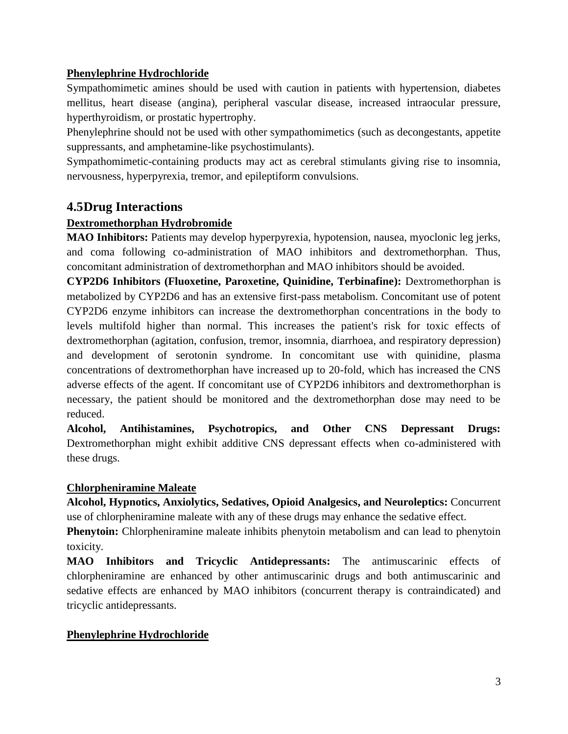### **Phenylephrine Hydrochloride**

Sympathomimetic amines should be used with caution in patients with hypertension, diabetes mellitus, heart disease (angina), peripheral vascular disease, increased intraocular pressure, hyperthyroidism, or prostatic hypertrophy.

Phenylephrine should not be used with other sympathomimetics (such as decongestants, appetite suppressants, and amphetamine-like psychostimulants).

Sympathomimetic-containing products may act as cerebral stimulants giving rise to insomnia, nervousness, hyperpyrexia, tremor, and epileptiform convulsions.

### **4.5Drug Interactions**

### **Dextromethorphan Hydrobromide**

**MAO Inhibitors:** Patients may develop hyperpyrexia, hypotension, nausea, myoclonic leg jerks, and coma following co-administration of MAO inhibitors and dextromethorphan. Thus, concomitant administration of dextromethorphan and MAO inhibitors should be avoided.

**CYP2D6 Inhibitors (Fluoxetine, Paroxetine, Quinidine, Terbinafine):** Dextromethorphan is metabolized by CYP2D6 and has an extensive first-pass metabolism. Concomitant use of potent CYP2D6 enzyme inhibitors can increase the dextromethorphan concentrations in the body to levels multifold higher than normal. This increases the patient's risk for toxic effects of dextromethorphan (agitation, confusion, tremor, insomnia, diarrhoea, and respiratory depression) and development of serotonin syndrome. In concomitant use with quinidine, plasma concentrations of dextromethorphan have increased up to 20-fold, which has increased the CNS adverse effects of the agent. If concomitant use of CYP2D6 inhibitors and dextromethorphan is necessary, the patient should be monitored and the dextromethorphan dose may need to be reduced.

**Alcohol, Antihistamines, Psychotropics, and Other CNS Depressant Drugs:** Dextromethorphan might exhibit additive CNS depressant effects when co-administered with these drugs.

#### **Chlorpheniramine Maleate**

**Alcohol, Hypnotics, Anxiolytics, Sedatives, Opioid Analgesics, and Neuroleptics:** Concurrent use of chlorpheniramine maleate with any of these drugs may enhance the sedative effect.

**Phenytoin:** Chlorpheniramine maleate inhibits phenytoin metabolism and can lead to phenytoin toxicity.

**MAO Inhibitors and Tricyclic Antidepressants:** The antimuscarinic effects of chlorpheniramine are enhanced by other antimuscarinic drugs and both antimuscarinic and sedative effects are enhanced by MAO inhibitors (concurrent therapy is contraindicated) and tricyclic antidepressants.

#### **Phenylephrine Hydrochloride**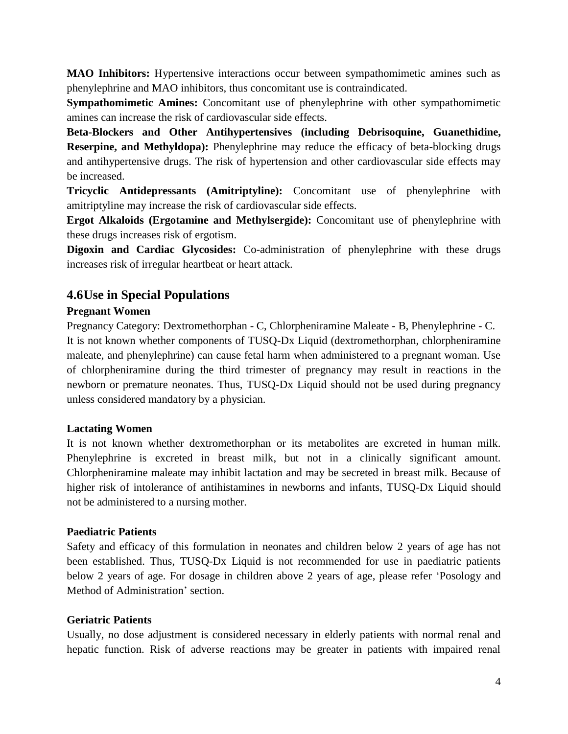**MAO Inhibitors:** Hypertensive interactions occur between sympathomimetic amines such as phenylephrine and MAO inhibitors, thus concomitant use is contraindicated.

**Sympathomimetic Amines:** Concomitant use of phenylephrine with other sympathomimetic amines can increase the risk of cardiovascular side effects.

**Beta-Blockers and Other Antihypertensives (including Debrisoquine, Guanethidine, Reserpine, and Methyldopa):** Phenylephrine may reduce the efficacy of beta-blocking drugs and antihypertensive drugs. The risk of hypertension and other cardiovascular side effects may be increased.

**Tricyclic Antidepressants (Amitriptyline):** Concomitant use of phenylephrine with amitriptyline may increase the risk of cardiovascular side effects.

**Ergot Alkaloids (Ergotamine and Methylsergide):** Concomitant use of phenylephrine with these drugs increases risk of ergotism.

**Digoxin and Cardiac Glycosides:** Co-administration of phenylephrine with these drugs increases risk of irregular heartbeat or heart attack.

### **4.6Use in Special Populations**

#### **Pregnant Women**

Pregnancy Category: Dextromethorphan - C, Chlorpheniramine Maleate - B, Phenylephrine - C. It is not known whether components of TUSQ-Dx Liquid (dextromethorphan, chlorpheniramine maleate, and phenylephrine) can cause fetal harm when administered to a pregnant woman. Use of chlorpheniramine during the third trimester of pregnancy may result in reactions in the newborn or premature neonates. Thus, TUSQ-Dx Liquid should not be used during pregnancy unless considered mandatory by a physician.

#### **Lactating Women**

It is not known whether dextromethorphan or its metabolites are excreted in human milk. Phenylephrine is excreted in breast milk, but not in a clinically significant amount. Chlorpheniramine maleate may inhibit lactation and may be secreted in breast milk. Because of higher risk of intolerance of antihistamines in newborns and infants, TUSQ-Dx Liquid should not be administered to a nursing mother.

#### **Paediatric Patients**

Safety and efficacy of this formulation in neonates and children below 2 years of age has not been established. Thus, TUSQ-Dx Liquid is not recommended for use in paediatric patients below 2 years of age. For dosage in children above 2 years of age, please refer 'Posology and Method of Administration' section.

#### **Geriatric Patients**

Usually, no dose adjustment is considered necessary in elderly patients with normal renal and hepatic function. Risk of adverse reactions may be greater in patients with impaired renal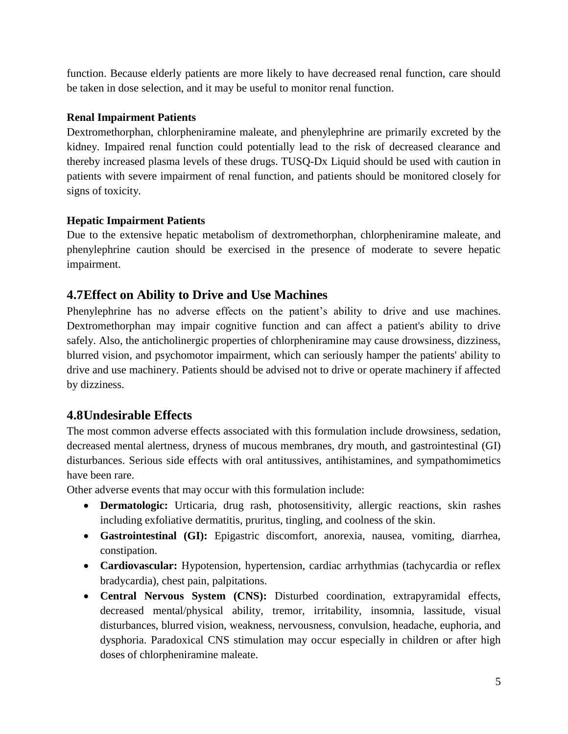function. Because elderly patients are more likely to have decreased renal function, care should be taken in dose selection, and it may be useful to monitor renal function.

### **Renal Impairment Patients**

Dextromethorphan, chlorpheniramine maleate, and phenylephrine are primarily excreted by the kidney. Impaired renal function could potentially lead to the risk of decreased clearance and thereby increased plasma levels of these drugs. TUSQ-Dx Liquid should be used with caution in patients with severe impairment of renal function, and patients should be monitored closely for signs of toxicity.

### **Hepatic Impairment Patients**

Due to the extensive hepatic metabolism of dextromethorphan, chlorpheniramine maleate, and phenylephrine caution should be exercised in the presence of moderate to severe hepatic impairment.

## **4.7Effect on Ability to Drive and Use Machines**

Phenylephrine has no adverse effects on the patient's ability to drive and use machines. Dextromethorphan may impair cognitive function and can affect a patient's ability to drive safely. Also, the anticholinergic properties of chlorpheniramine may cause drowsiness, dizziness, blurred vision, and psychomotor impairment, which can seriously hamper the patients' ability to drive and use machinery. Patients should be advised not to drive or operate machinery if affected by dizziness.

### **4.8Undesirable Effects**

The most common adverse effects associated with this formulation include drowsiness, sedation, decreased mental alertness, dryness of mucous membranes, dry mouth, and gastrointestinal (GI) disturbances. Serious side effects with oral antitussives, antihistamines, and sympathomimetics have been rare.

Other adverse events that may occur with this formulation include:

- **Dermatologic:** Urticaria, drug rash, photosensitivity, allergic reactions, skin rashes including exfoliative dermatitis, pruritus, tingling, and coolness of the skin.
- **Gastrointestinal (GI):** Epigastric discomfort, anorexia, nausea, vomiting, diarrhea, constipation.
- **Cardiovascular:** Hypotension, hypertension, cardiac arrhythmias (tachycardia or reflex bradycardia), chest pain, palpitations.
- **Central Nervous System (CNS):** Disturbed coordination, extrapyramidal effects, decreased mental/physical ability, tremor, irritability, insomnia, lassitude, visual disturbances, blurred vision, weakness, nervousness, convulsion, headache, euphoria, and dysphoria. Paradoxical CNS stimulation may occur especially in children or after high doses of chlorpheniramine maleate.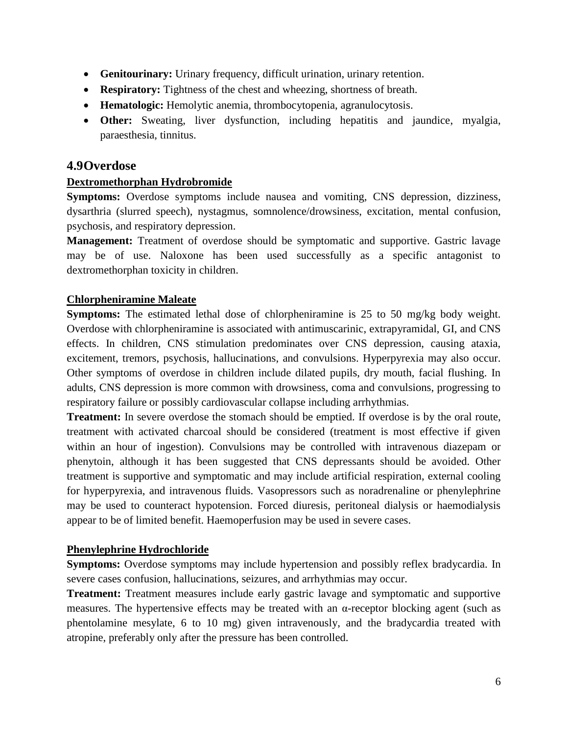- **Genitourinary:** Urinary frequency, difficult urination, urinary retention.
- **Respiratory:** Tightness of the chest and wheezing, shortness of breath.
- **Hematologic:** Hemolytic anemia, thrombocytopenia, agranulocytosis.
- **Other:** Sweating, liver dysfunction, including hepatitis and jaundice, myalgia, paraesthesia, tinnitus.

### **4.9Overdose**

#### **Dextromethorphan Hydrobromide**

**Symptoms:** Overdose symptoms include nausea and vomiting, CNS depression, dizziness, dysarthria (slurred speech), nystagmus, somnolence/drowsiness, excitation, mental confusion, psychosis, and respiratory depression.

**Management:** Treatment of overdose should be symptomatic and supportive. Gastric lavage may be of use. Naloxone has been used successfully as a specific antagonist to dextromethorphan toxicity in children.

#### **Chlorpheniramine Maleate**

**Symptoms:** The estimated lethal dose of chlorpheniramine is 25 to 50 mg/kg body weight. Overdose with chlorpheniramine is associated with antimuscarinic, extrapyramidal, GI, and CNS effects. In children, CNS stimulation predominates over CNS depression, causing ataxia, excitement, tremors, psychosis, hallucinations, and convulsions. Hyperpyrexia may also occur. Other symptoms of overdose in children include dilated pupils, dry mouth, facial flushing. In adults, CNS depression is more common with drowsiness, coma and convulsions, progressing to respiratory failure or possibly cardiovascular collapse including arrhythmias.

**Treatment:** In severe overdose the stomach should be emptied. If overdose is by the oral route, treatment with activated charcoal should be considered (treatment is most effective if given within an hour of ingestion). Convulsions may be controlled with intravenous diazepam or phenytoin, although it has been suggested that CNS depressants should be avoided. Other treatment is supportive and symptomatic and may include artificial respiration, external cooling for hyperpyrexia, and intravenous fluids. Vasopressors such as noradrenaline or phenylephrine may be used to counteract hypotension. Forced diuresis, peritoneal dialysis or haemodialysis appear to be of limited benefit. Haemoperfusion may be used in severe cases.

#### **Phenylephrine Hydrochloride**

**Symptoms:** Overdose symptoms may include hypertension and possibly reflex bradycardia. In severe cases confusion, hallucinations, seizures, and arrhythmias may occur.

**Treatment:** Treatment measures include early gastric lavage and symptomatic and supportive measures. The hypertensive effects may be treated with an  $\alpha$ -receptor blocking agent (such as phentolamine mesylate, 6 to 10 mg) given intravenously, and the bradycardia treated with atropine, preferably only after the pressure has been controlled.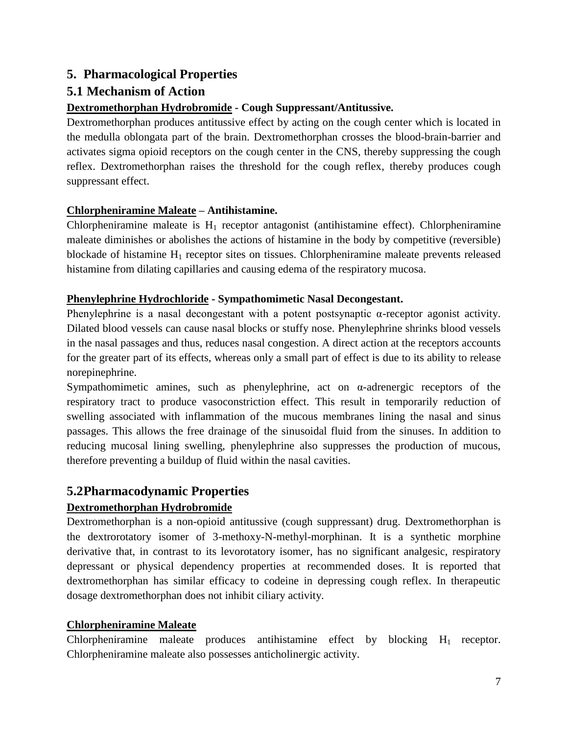## **5. Pharmacological Properties**

# **5.1 Mechanism of Action**

### **Dextromethorphan Hydrobromide - Cough Suppressant/Antitussive.**

Dextromethorphan produces antitussive effect by acting on the cough center which is located in the medulla oblongata part of the brain. Dextromethorphan crosses the blood-brain-barrier and activates sigma opioid receptors on the cough center in the CNS, thereby suppressing the cough reflex. Dextromethorphan raises the threshold for the cough reflex, thereby produces cough suppressant effect.

### **Chlorpheniramine Maleate – Antihistamine.**

Chlorpheniramine maleate is  $H_1$  receptor antagonist (antihistamine effect). Chlorpheniramine maleate diminishes or abolishes the actions of histamine in the body by competitive (reversible) blockade of histamine  $H_1$  receptor sites on tissues. Chlorpheniramine maleate prevents released histamine from dilating capillaries and causing edema of the respiratory mucosa.

### **Phenylephrine Hydrochloride - Sympathomimetic Nasal Decongestant.**

Phenylephrine is a nasal decongestant with a potent postsynaptic α-receptor agonist activity. Dilated blood vessels can cause nasal blocks or stuffy nose. Phenylephrine shrinks blood vessels in the nasal passages and thus, reduces nasal congestion. A direct action at the receptors accounts for the greater part of its effects, whereas only a small part of effect is due to its ability to release norepinephrine.

Sympathomimetic amines, such as phenylephrine, act on  $\alpha$ -adrenergic receptors of the respiratory tract to produce vasoconstriction effect. This result in temporarily reduction of swelling associated with inflammation of the mucous membranes lining the nasal and sinus passages. This allows the free drainage of the sinusoidal fluid from the sinuses. In addition to reducing mucosal lining swelling, phenylephrine also suppresses the production of mucous, therefore preventing a buildup of fluid within the nasal cavities.

# **5.2Pharmacodynamic Properties**

### **Dextromethorphan Hydrobromide**

Dextromethorphan is a non-opioid antitussive (cough suppressant) drug. Dextromethorphan is the dextrorotatory isomer of 3-methoxy-N-methyl-morphinan. It is a synthetic morphine derivative that, in contrast to its levorotatory isomer, has no significant analgesic, respiratory depressant or physical dependency properties at recommended doses. It is reported that dextromethorphan has similar efficacy to codeine in depressing cough reflex. In therapeutic dosage dextromethorphan does not inhibit ciliary activity.

### **Chlorpheniramine Maleate**

Chlorpheniramine maleate produces antihistamine effect by blocking  $H_1$  receptor. Chlorpheniramine maleate also possesses anticholinergic activity.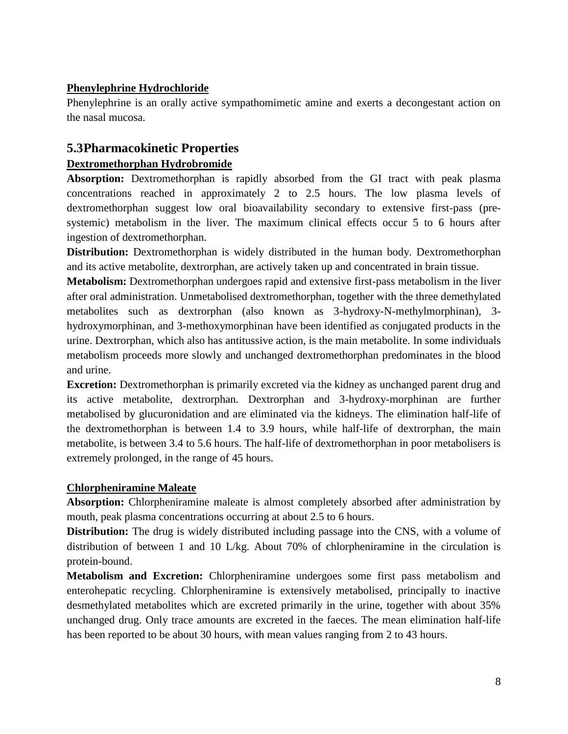### **Phenylephrine Hydrochloride**

Phenylephrine is an orally active sympathomimetic amine and exerts a decongestant action on the nasal mucosa.

### **5.3Pharmacokinetic Properties**

### **Dextromethorphan Hydrobromide**

**Absorption:** Dextromethorphan is rapidly absorbed from the GI tract with peak plasma concentrations reached in approximately 2 to 2.5 hours. The low plasma levels of dextromethorphan suggest low oral bioavailability secondary to extensive first-pass (presystemic) metabolism in the liver. The maximum clinical effects occur 5 to 6 hours after ingestion of dextromethorphan.

**Distribution:** Dextromethorphan is widely distributed in the human body. Dextromethorphan and its active metabolite, dextrorphan, are actively taken up and concentrated in brain tissue.

**Metabolism:** Dextromethorphan undergoes rapid and extensive first-pass metabolism in the liver after oral administration. Unmetabolised dextromethorphan, together with the three demethylated metabolites such as dextrorphan (also known as 3-hydroxy-N-methylmorphinan), 3 hydroxymorphinan, and 3-methoxymorphinan have been identified as conjugated products in the urine. Dextrorphan, which also has antitussive action, is the main metabolite. In some individuals metabolism proceeds more slowly and unchanged dextromethorphan predominates in the blood and urine.

**Excretion:** Dextromethorphan is primarily excreted via the kidney as unchanged parent drug and its active metabolite, dextrorphan. Dextrorphan and 3-hydroxy-morphinan are further metabolised by glucuronidation and are eliminated via the kidneys. The elimination half-life of the dextromethorphan is between 1.4 to 3.9 hours, while half-life of dextrorphan, the main metabolite, is between 3.4 to 5.6 hours. The half-life of dextromethorphan in poor metabolisers is extremely prolonged, in the range of 45 hours.

#### **Chlorpheniramine Maleate**

**Absorption:** Chlorpheniramine maleate is almost completely absorbed after administration by mouth, peak plasma concentrations occurring at about 2.5 to 6 hours.

**Distribution:** The drug is widely distributed including passage into the CNS, with a volume of distribution of between 1 and 10 L/kg. About 70% of chlorpheniramine in the circulation is protein-bound.

**Metabolism and Excretion:** Chlorpheniramine undergoes some first pass metabolism and enterohepatic recycling. Chlorpheniramine is extensively metabolised, principally to inactive desmethylated metabolites which are excreted primarily in the urine, together with about 35% unchanged drug. Only trace amounts are excreted in the faeces. The mean elimination half-life has been reported to be about 30 hours, with mean values ranging from 2 to 43 hours.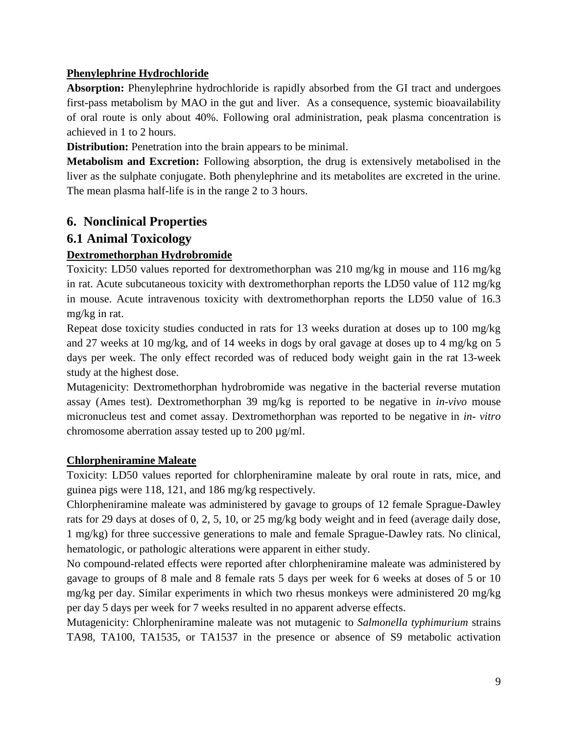#### **Phenylephrine Hydrochloride**

Absorption: Phenylephrine hydrochloride is rapidly absorbed from the GI tract and undergoes first-pass metabolism by MAO in the gut and liver. As a consequence, systemic bioavailability of oral route is only about 40%. Following oral administration, peak plasma concentration is achieved in 1 to 2 hours.

**Distribution:** Penetration into the brain appears to be minimal.

**Metabolism and Excretion:** Following absorption, the drug is extensively metabolised in the liver as the sulphate conjugate. Both phenylephrine and its metabolites are excreted in the urine. The mean plasma half-life is in the range 2 to 3 hours.

## **6. Nonclinical Properties**

### **6.1 Animal Toxicology**

### **Dextromethorphan Hydrobromide**

Toxicity: LD50 values reported for dextromethorphan was 210 mg/kg in mouse and 116 mg/kg in rat. Acute subcutaneous toxicity with dextromethorphan reports the LD50 value of 112 mg/kg in mouse. Acute intravenous toxicity with dextromethorphan reports the LD50 value of 16.3 mg/kg in rat.

Repeat dose toxicity studies conducted in rats for 13 weeks duration at doses up to 100 mg/kg and 27 weeks at 10 mg/kg, and of 14 weeks in dogs by oral gavage at doses up to 4 mg/kg on 5 days per week. The only effect recorded was of reduced body weight gain in the rat 13-week study at the highest dose.

Mutagenicity: Dextromethorphan hydrobromide was negative in the bacterial reverse mutation assay (Ames test). Dextromethorphan 39 mg/kg is reported to be negative in *in-vivo* mouse micronucleus test and comet assay. Dextromethorphan was reported to be negative in *in- vitro* chromosome aberration assay tested up to 200 µg/ml.

#### **Chlorpheniramine Maleate**

Toxicity: LD50 values reported for chlorpheniramine maleate by oral route in rats, mice, and guinea pigs were 118, 121, and 186 mg/kg respectively.

Chlorpheniramine maleate was administered by gavage to groups of 12 female Sprague-Dawley rats for 29 days at doses of 0, 2, 5, 10, or 25 mg/kg body weight and in feed (average daily dose, 1 mg/kg) for three successive generations to male and female Sprague-Dawley rats. No clinical, hematologic, or pathologic alterations were apparent in either study.

No compound-related effects were reported after chlorpheniramine maleate was administered by gavage to groups of 8 male and 8 female rats 5 days per week for 6 weeks at doses of 5 or 10 mg/kg per day. Similar experiments in which two rhesus monkeys were administered 20 mg/kg per day 5 days per week for 7 weeks resulted in no apparent adverse effects.

Mutagenicity: Chlorpheniramine maleate was not mutagenic to *Salmonella typhimurium* strains TA98, TA100, TA1535, or TA1537 in the presence or absence of S9 metabolic activation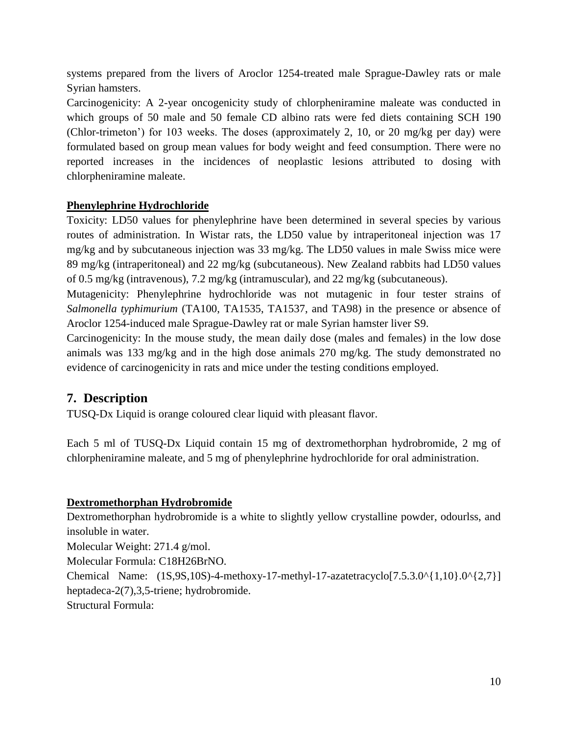systems prepared from the livers of Aroclor 1254-treated male Sprague-Dawley rats or male Syrian hamsters.

Carcinogenicity: A 2-year oncogenicity study of chlorpheniramine maleate was conducted in which groups of 50 male and 50 female CD albino rats were fed diets containing SCH 190 (Chlor-trimeton') for 103 weeks. The doses (approximately 2, 10, or 20 mg/kg per day) were formulated based on group mean values for body weight and feed consumption. There were no reported increases in the incidences of neoplastic lesions attributed to dosing with chlorpheniramine maleate.

#### **Phenylephrine Hydrochloride**

Toxicity: LD50 values for phenylephrine have been determined in several species by various routes of administration. In Wistar rats, the LD50 value by intraperitoneal injection was 17 mg/kg and by subcutaneous injection was 33 mg/kg. The LD50 values in male Swiss mice were 89 mg/kg (intraperitoneal) and 22 mg/kg (subcutaneous). New Zealand rabbits had LD50 values of 0.5 mg/kg (intravenous), 7.2 mg/kg (intramuscular), and 22 mg/kg (subcutaneous).

Mutagenicity: Phenylephrine hydrochloride was not mutagenic in four tester strains of *Salmonella typhimurium* (TA100, TA1535, TA1537, and TA98) in the presence or absence of Aroclor 1254-induced male Sprague-Dawley rat or male Syrian hamster liver S9.

Carcinogenicity: In the mouse study, the mean daily dose (males and females) in the low dose animals was 133 mg/kg and in the high dose animals 270 mg/kg. The study demonstrated no evidence of carcinogenicity in rats and mice under the testing conditions employed.

### **7. Description**

TUSQ-Dx Liquid is orange coloured clear liquid with pleasant flavor.

Each 5 ml of TUSQ-Dx Liquid contain 15 mg of dextromethorphan hydrobromide, 2 mg of chlorpheniramine maleate, and 5 mg of phenylephrine hydrochloride for oral administration.

#### **Dextromethorphan Hydrobromide**

Dextromethorphan hydrobromide is a white to slightly yellow crystalline powder, odourlss, and insoluble in water. Molecular Weight: 271.4 g/mol. Molecular Formula: C18H26BrNO. Chemical Name:  $(1S, 9S, 10S)$ -4-methoxy-17-methyl-17-azatetracyclo $[7.5.3.0 \times \{1, 10\}$ .0 $\times \{2, 7\}]$ heptadeca-2(7),3,5-triene; hydrobromide.

Structural Formula: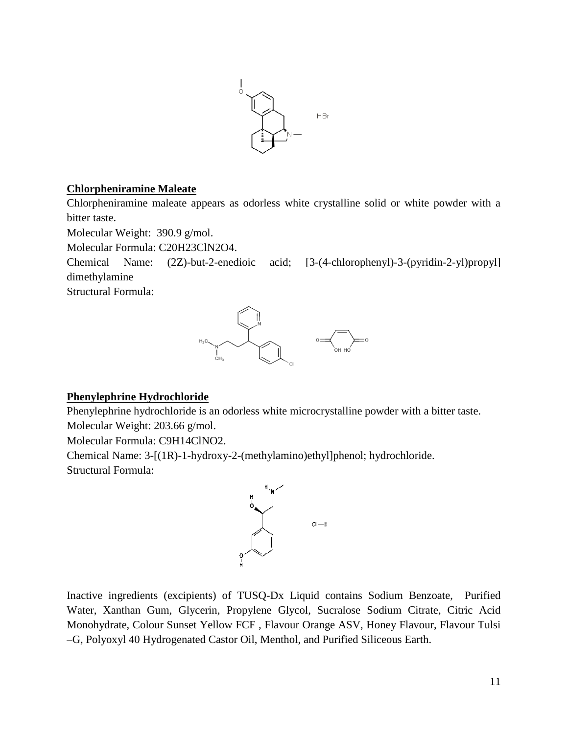

#### **Chlorpheniramine Maleate**

Chlorpheniramine maleate appears as odorless white crystalline solid or white powder with a bitter taste.

Molecular Weight: 390.9 g/mol.

Molecular Formula: C20H23ClN2O4.

Chemical Name: (2Z)-but-2-enedioic acid; [3-(4-chlorophenyl)-3-(pyridin-2-yl)propyl] dimethylamine

Structural Formula:



#### **Phenylephrine Hydrochloride**

Phenylephrine hydrochloride is an odorless white microcrystalline powder with a bitter taste. Molecular Weight: 203.66 g/mol.

Molecular Formula: C9H14ClNO2.

Chemical Name: 3-[(1R)-1-hydroxy-2-(methylamino)ethyl]phenol; hydrochloride. Structural Formula:



Inactive ingredients (excipients) of TUSQ-Dx Liquid contains Sodium Benzoate, Purified Water, Xanthan Gum, Glycerin, Propylene Glycol, Sucralose Sodium Citrate, Citric Acid Monohydrate, Colour Sunset Yellow FCF , Flavour Orange ASV, Honey Flavour, Flavour Tulsi –G, Polyoxyl 40 Hydrogenated Castor Oil, Menthol, and Purified Siliceous Earth.